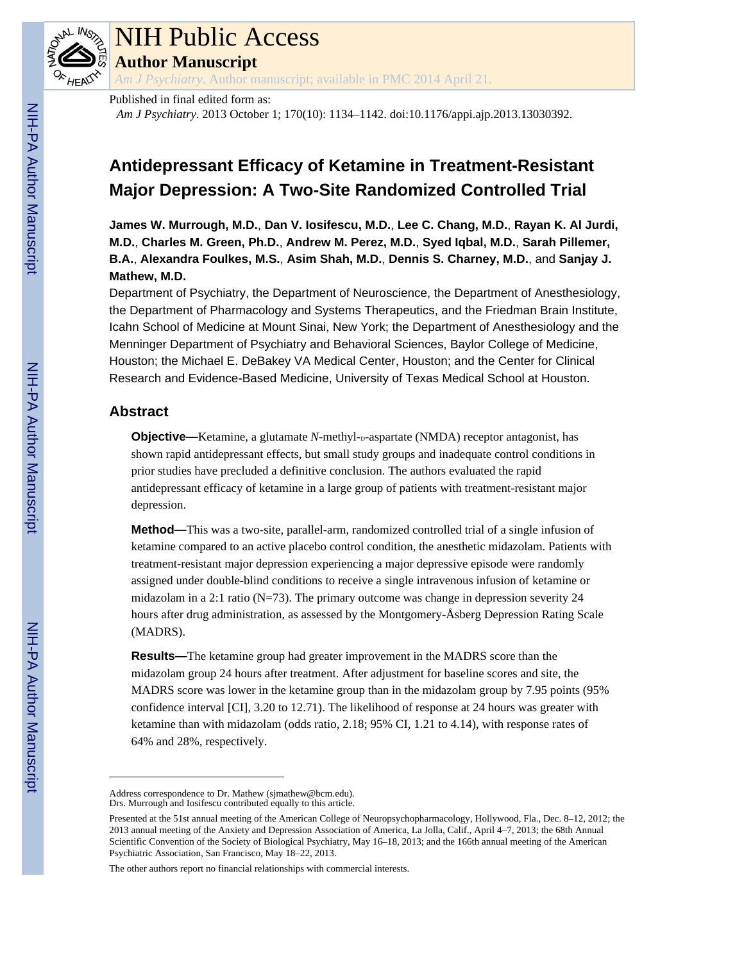

### NIH Public Access

**Author Manuscript**

*Am J Psychiatry*. Author manuscript; available in PMC 2014 April 21.

Published in final edited form as:

*Am J Psychiatry*. 2013 October 1; 170(10): 1134–1142. doi:10.1176/appi.ajp.2013.13030392.

### **Antidepressant Efficacy of Ketamine in Treatment-Resistant Major Depression: A Two-Site Randomized Controlled Trial**

**James W. Murrough, M.D.**, **Dan V. Iosifescu, M.D.**, **Lee C. Chang, M.D.**, **Rayan K. Al Jurdi, M.D.**, **Charles M. Green, Ph.D.**, **Andrew M. Perez, M.D.**, **Syed Iqbal, M.D.**, **Sarah Pillemer, B.A.**, **Alexandra Foulkes, M.S.**, **Asim Shah, M.D.**, **Dennis S. Charney, M.D.**, and **Sanjay J. Mathew, M.D.**

Department of Psychiatry, the Department of Neuroscience, the Department of Anesthesiology, the Department of Pharmacology and Systems Therapeutics, and the Friedman Brain Institute, Icahn School of Medicine at Mount Sinai, New York; the Department of Anesthesiology and the Menninger Department of Psychiatry and Behavioral Sciences, Baylor College of Medicine, Houston; the Michael E. DeBakey VA Medical Center, Houston; and the Center for Clinical Research and Evidence-Based Medicine, University of Texas Medical School at Houston.

#### **Abstract**

**Objective—**Ketamine, a glutamate *N*-methyl-<sub>D</sub>-aspartate (NMDA) receptor antagonist, has shown rapid antidepressant effects, but small study groups and inadequate control conditions in prior studies have precluded a definitive conclusion. The authors evaluated the rapid antidepressant efficacy of ketamine in a large group of patients with treatment-resistant major depression.

**Method—**This was a two-site, parallel-arm, randomized controlled trial of a single infusion of ketamine compared to an active placebo control condition, the anesthetic midazolam. Patients with treatment-resistant major depression experiencing a major depressive episode were randomly assigned under double-blind conditions to receive a single intravenous infusion of ketamine or midazolam in a 2:1 ratio ( $N=73$ ). The primary outcome was change in depression severity 24 hours after drug administration, as assessed by the Montgomery-Åsberg Depression Rating Scale (MADRS).

**Results—**The ketamine group had greater improvement in the MADRS score than the midazolam group 24 hours after treatment. After adjustment for baseline scores and site, the MADRS score was lower in the ketamine group than in the midazolam group by 7.95 points (95% confidence interval [CI], 3.20 to 12.71). The likelihood of response at 24 hours was greater with ketamine than with midazolam (odds ratio, 2.18; 95% CI, 1.21 to 4.14), with response rates of 64% and 28%, respectively.

Address correspondence to Dr. Mathew (sjmathew@bcm.edu).

Drs. Murrough and Iosifescu contributed equally to this article.

Presented at the 51st annual meeting of the American College of Neuropsychopharmacology, Hollywood, Fla., Dec. 8–12, 2012; the 2013 annual meeting of the Anxiety and Depression Association of America, La Jolla, Calif., April 4–7, 2013; the 68th Annual Scientific Convention of the Society of Biological Psychiatry, May 16–18, 2013; and the 166th annual meeting of the American Psychiatric Association, San Francisco, May 18–22, 2013.

The other authors report no financial relationships with commercial interests.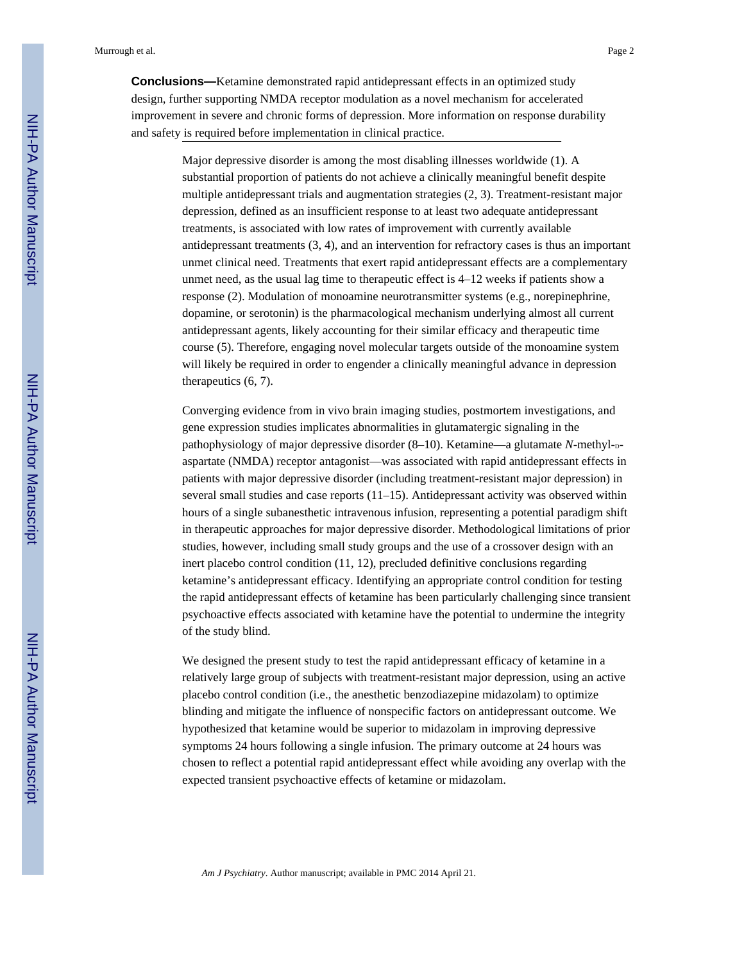**Conclusions—**Ketamine demonstrated rapid antidepressant effects in an optimized study design, further supporting NMDA receptor modulation as a novel mechanism for accelerated improvement in severe and chronic forms of depression. More information on response durability and safety is required before implementation in clinical practice.

> Major depressive disorder is among the most disabling illnesses worldwide (1). A substantial proportion of patients do not achieve a clinically meaningful benefit despite multiple antidepressant trials and augmentation strategies (2, 3). Treatment-resistant major depression, defined as an insufficient response to at least two adequate antidepressant treatments, is associated with low rates of improvement with currently available antidepressant treatments (3, 4), and an intervention for refractory cases is thus an important unmet clinical need. Treatments that exert rapid antidepressant effects are a complementary unmet need, as the usual lag time to therapeutic effect is  $4-12$  weeks if patients show a response (2). Modulation of monoamine neurotransmitter systems (e.g., norepinephrine, dopamine, or serotonin) is the pharmacological mechanism underlying almost all current antidepressant agents, likely accounting for their similar efficacy and therapeutic time course (5). Therefore, engaging novel molecular targets outside of the monoamine system will likely be required in order to engender a clinically meaningful advance in depression therapeutics (6, 7).

> Converging evidence from in vivo brain imaging studies, postmortem investigations, and gene expression studies implicates abnormalities in glutamatergic signaling in the pathophysiology of major depressive disorder (8–10). Ketamine—a glutamate *N*-methylaspartate (NMDA) receptor antagonist—was associated with rapid antidepressant effects in patients with major depressive disorder (including treatment-resistant major depression) in several small studies and case reports (11–15). Antidepressant activity was observed within hours of a single subanesthetic intravenous infusion, representing a potential paradigm shift in therapeutic approaches for major depressive disorder. Methodological limitations of prior studies, however, including small study groups and the use of a crossover design with an inert placebo control condition (11, 12), precluded definitive conclusions regarding ketamine's antidepressant efficacy. Identifying an appropriate control condition for testing the rapid antidepressant effects of ketamine has been particularly challenging since transient psychoactive effects associated with ketamine have the potential to undermine the integrity of the study blind.

> We designed the present study to test the rapid antidepressant efficacy of ketamine in a relatively large group of subjects with treatment-resistant major depression, using an active placebo control condition (i.e., the anesthetic benzodiazepine midazolam) to optimize blinding and mitigate the influence of nonspecific factors on antidepressant outcome. We hypothesized that ketamine would be superior to midazolam in improving depressive symptoms 24 hours following a single infusion. The primary outcome at 24 hours was chosen to reflect a potential rapid antidepressant effect while avoiding any overlap with the expected transient psychoactive effects of ketamine or midazolam.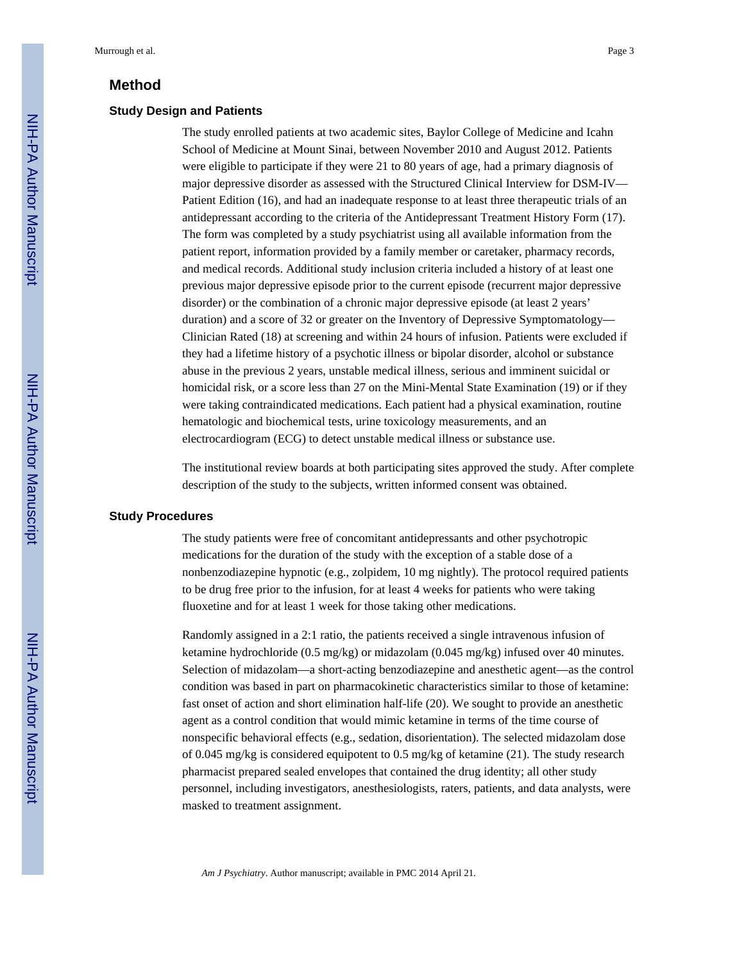#### **Method**

#### **Study Design and Patients**

The study enrolled patients at two academic sites, Baylor College of Medicine and Icahn School of Medicine at Mount Sinai, between November 2010 and August 2012. Patients were eligible to participate if they were 21 to 80 years of age, had a primary diagnosis of major depressive disorder as assessed with the Structured Clinical Interview for DSM-IV— Patient Edition (16), and had an inadequate response to at least three therapeutic trials of an antidepressant according to the criteria of the Antidepressant Treatment History Form (17). The form was completed by a study psychiatrist using all available information from the patient report, information provided by a family member or caretaker, pharmacy records, and medical records. Additional study inclusion criteria included a history of at least one previous major depressive episode prior to the current episode (recurrent major depressive disorder) or the combination of a chronic major depressive episode (at least 2 years' duration) and a score of 32 or greater on the Inventory of Depressive Symptomatology— Clinician Rated (18) at screening and within 24 hours of infusion. Patients were excluded if they had a lifetime history of a psychotic illness or bipolar disorder, alcohol or substance abuse in the previous 2 years, unstable medical illness, serious and imminent suicidal or homicidal risk, or a score less than 27 on the Mini-Mental State Examination (19) or if they were taking contraindicated medications. Each patient had a physical examination, routine hematologic and biochemical tests, urine toxicology measurements, and an electrocardiogram (ECG) to detect unstable medical illness or substance use.

The institutional review boards at both participating sites approved the study. After complete description of the study to the subjects, written informed consent was obtained.

#### **Study Procedures**

The study patients were free of concomitant antidepressants and other psychotropic medications for the duration of the study with the exception of a stable dose of a nonbenzodiazepine hypnotic (e.g., zolpidem, 10 mg nightly). The protocol required patients to be drug free prior to the infusion, for at least 4 weeks for patients who were taking fluoxetine and for at least 1 week for those taking other medications.

Randomly assigned in a 2:1 ratio, the patients received a single intravenous infusion of ketamine hydrochloride (0.5 mg/kg) or midazolam (0.045 mg/kg) infused over 40 minutes. Selection of midazolam—a short-acting benzodiazepine and anesthetic agent—as the control condition was based in part on pharmacokinetic characteristics similar to those of ketamine: fast onset of action and short elimination half-life (20). We sought to provide an anesthetic agent as a control condition that would mimic ketamine in terms of the time course of nonspecific behavioral effects (e.g., sedation, disorientation). The selected midazolam dose of 0.045 mg/kg is considered equipotent to 0.5 mg/kg of ketamine (21). The study research pharmacist prepared sealed envelopes that contained the drug identity; all other study personnel, including investigators, anesthesiologists, raters, patients, and data analysts, were masked to treatment assignment.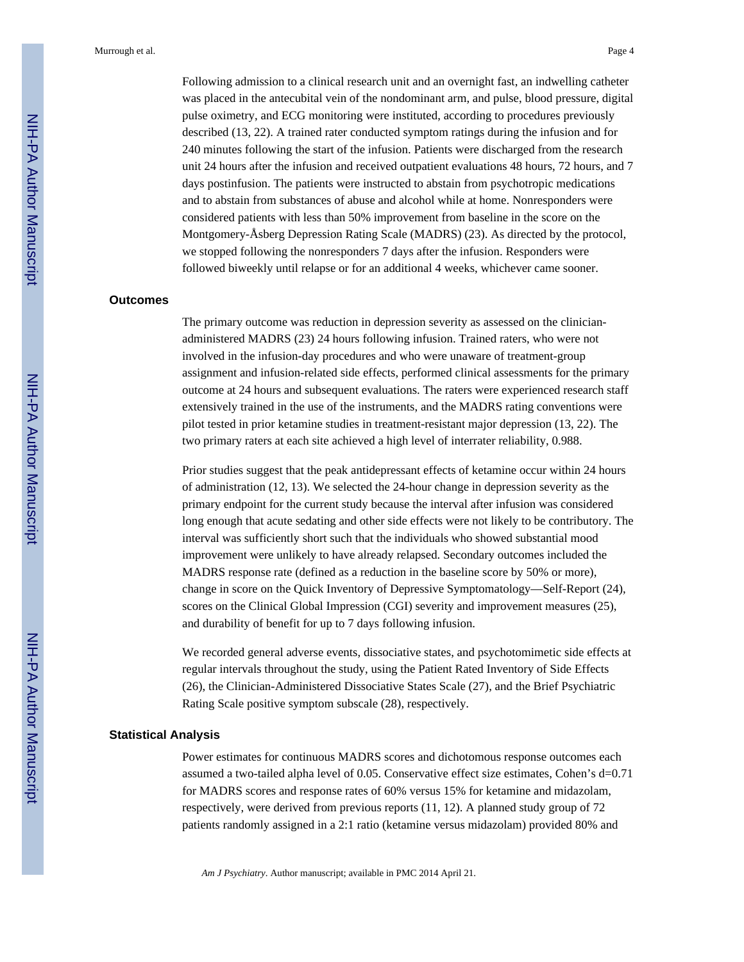Following admission to a clinical research unit and an overnight fast, an indwelling catheter was placed in the antecubital vein of the nondominant arm, and pulse, blood pressure, digital pulse oximetry, and ECG monitoring were instituted, according to procedures previously described (13, 22). A trained rater conducted symptom ratings during the infusion and for 240 minutes following the start of the infusion. Patients were discharged from the research unit 24 hours after the infusion and received outpatient evaluations 48 hours, 72 hours, and 7 days postinfusion. The patients were instructed to abstain from psychotropic medications and to abstain from substances of abuse and alcohol while at home. Nonresponders were considered patients with less than 50% improvement from baseline in the score on the Montgomery-Åsberg Depression Rating Scale (MADRS) (23). As directed by the protocol, we stopped following the nonresponders 7 days after the infusion. Responders were followed biweekly until relapse or for an additional 4 weeks, whichever came sooner.

#### **Outcomes**

The primary outcome was reduction in depression severity as assessed on the clinicianadministered MADRS (23) 24 hours following infusion. Trained raters, who were not involved in the infusion-day procedures and who were unaware of treatment-group assignment and infusion-related side effects, performed clinical assessments for the primary outcome at 24 hours and subsequent evaluations. The raters were experienced research staff extensively trained in the use of the instruments, and the MADRS rating conventions were pilot tested in prior ketamine studies in treatment-resistant major depression (13, 22). The two primary raters at each site achieved a high level of interrater reliability, 0.988.

Prior studies suggest that the peak antidepressant effects of ketamine occur within 24 hours of administration (12, 13). We selected the 24-hour change in depression severity as the primary endpoint for the current study because the interval after infusion was considered long enough that acute sedating and other side effects were not likely to be contributory. The interval was sufficiently short such that the individuals who showed substantial mood improvement were unlikely to have already relapsed. Secondary outcomes included the MADRS response rate (defined as a reduction in the baseline score by 50% or more), change in score on the Quick Inventory of Depressive Symptomatology—Self-Report (24), scores on the Clinical Global Impression (CGI) severity and improvement measures (25), and durability of benefit for up to 7 days following infusion.

We recorded general adverse events, dissociative states, and psychotomimetic side effects at regular intervals throughout the study, using the Patient Rated Inventory of Side Effects (26), the Clinician-Administered Dissociative States Scale (27), and the Brief Psychiatric Rating Scale positive symptom subscale (28), respectively.

#### **Statistical Analysis**

Power estimates for continuous MADRS scores and dichotomous response outcomes each assumed a two-tailed alpha level of 0.05. Conservative effect size estimates, Cohen's d=0.71 for MADRS scores and response rates of 60% versus 15% for ketamine and midazolam, respectively, were derived from previous reports (11, 12). A planned study group of 72 patients randomly assigned in a 2:1 ratio (ketamine versus midazolam) provided 80% and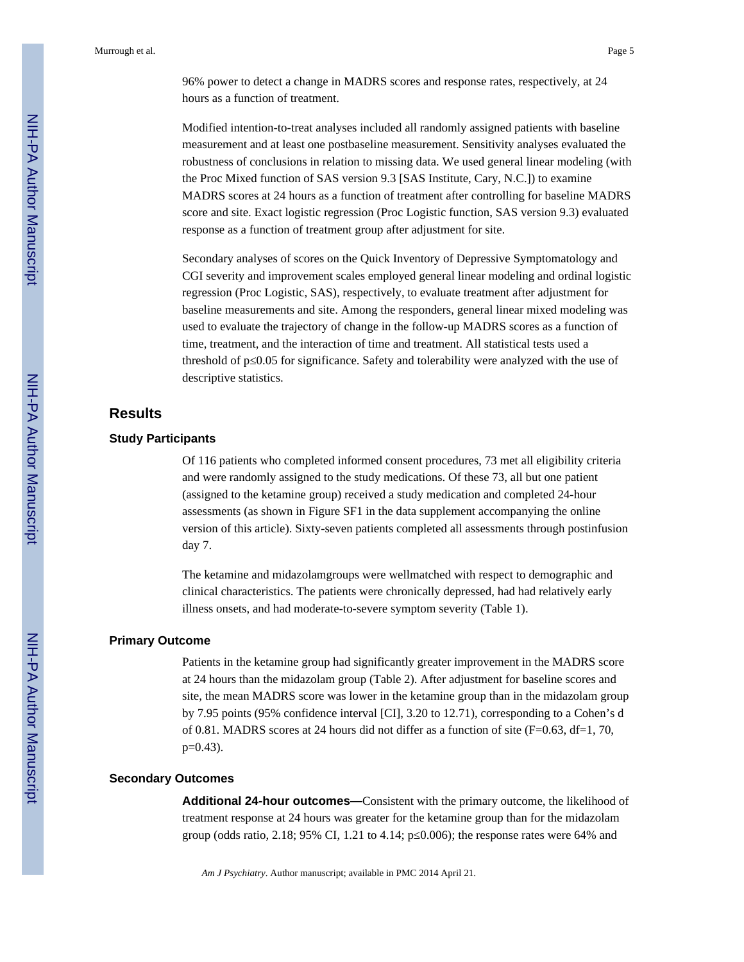96% power to detect a change in MADRS scores and response rates, respectively, at 24 hours as a function of treatment.

Modified intention-to-treat analyses included all randomly assigned patients with baseline measurement and at least one postbaseline measurement. Sensitivity analyses evaluated the robustness of conclusions in relation to missing data. We used general linear modeling (with the Proc Mixed function of SAS version 9.3 [SAS Institute, Cary, N.C.]) to examine MADRS scores at 24 hours as a function of treatment after controlling for baseline MADRS score and site. Exact logistic regression (Proc Logistic function, SAS version 9.3) evaluated response as a function of treatment group after adjustment for site.

Secondary analyses of scores on the Quick Inventory of Depressive Symptomatology and CGI severity and improvement scales employed general linear modeling and ordinal logistic regression (Proc Logistic, SAS), respectively, to evaluate treatment after adjustment for baseline measurements and site. Among the responders, general linear mixed modeling was used to evaluate the trajectory of change in the follow-up MADRS scores as a function of time, treatment, and the interaction of time and treatment. All statistical tests used a threshold of p 0.05 for significance. Safety and tolerability were analyzed with the use of descriptive statistics.

#### **Results**

#### **Study Participants**

Of 116 patients who completed informed consent procedures, 73 met all eligibility criteria and were randomly assigned to the study medications. Of these 73, all but one patient (assigned to the ketamine group) received a study medication and completed 24-hour assessments (as shown in Figure SF1 in the data supplement accompanying the online version of this article). Sixty-seven patients completed all assessments through postinfusion day 7.

The ketamine and midazolamgroups were wellmatched with respect to demographic and clinical characteristics. The patients were chronically depressed, had had relatively early illness onsets, and had moderate-to-severe symptom severity (Table 1).

#### **Primary Outcome**

Patients in the ketamine group had significantly greater improvement in the MADRS score at 24 hours than the midazolam group (Table 2). After adjustment for baseline scores and site, the mean MADRS score was lower in the ketamine group than in the midazolam group by 7.95 points (95% confidence interval [CI], 3.20 to 12.71), corresponding to a Cohen's d of 0.81. MADRS scores at 24 hours did not differ as a function of site (F=0.63, df=1, 70,  $p=0.43$ ).

#### **Secondary Outcomes**

**Additional 24-hour outcomes—**Consistent with the primary outcome, the likelihood of treatment response at 24 hours was greater for the ketamine group than for the midazolam group (odds ratio, 2.18; 95% CI, 1.21 to 4.14; p  $(0.006)$ ; the response rates were 64% and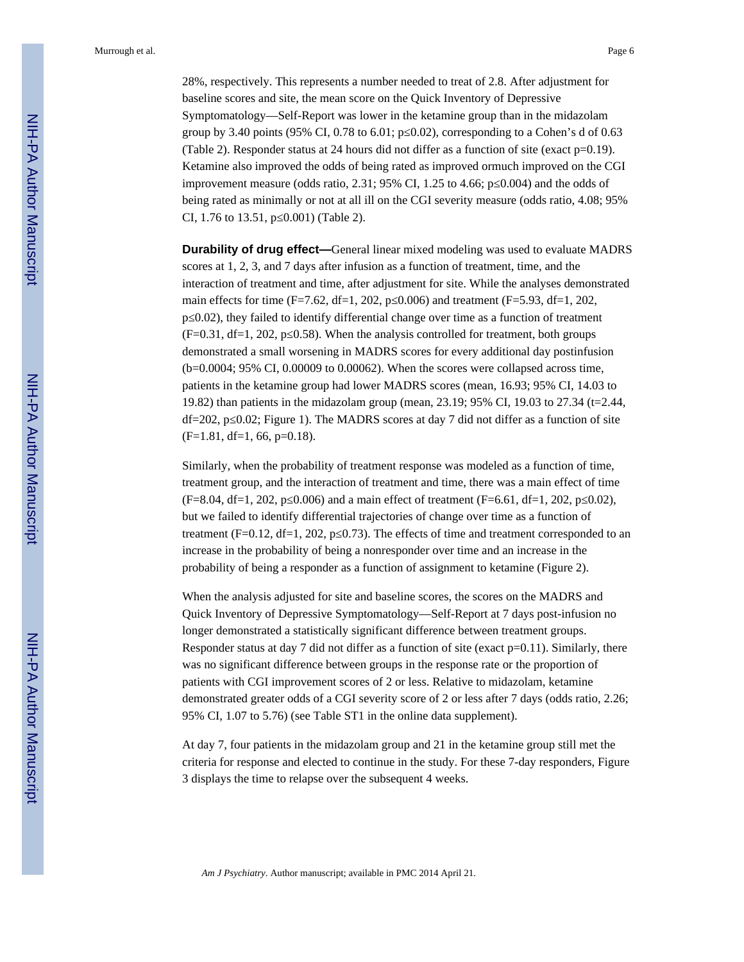Murrough et al. Page 6

28%, respectively. This represents a number needed to treat of 2.8. After adjustment for baseline scores and site, the mean score on the Quick Inventory of Depressive Symptomatology—Self-Report was lower in the ketamine group than in the midazolam group by 3.40 points (95% CI, 0.78 to 6.01; p 0.02), corresponding to a Cohen's d of 0.63 (Table 2). Responder status at 24 hours did not differ as a function of site (exact p=0.19). Ketamine also improved the odds of being rated as improved ormuch improved on the CGI improvement measure (odds ratio, 2.31;  $95\%$  CI, 1.25 to 4.66; p $\degree$ 0.004) and the odds of being rated as minimally or not at all ill on the CGI severity measure (odds ratio, 4.08; 95% CI, 1.76 to 13.51, p 0.001) (Table 2).

**Durability of drug effect—**General linear mixed modeling was used to evaluate MADRS scores at 1, 2, 3, and 7 days after infusion as a function of treatment, time, and the interaction of treatment and time, after adjustment for site. While the analyses demonstrated main effects for time (F=7.62, df=1, 202, p 0.006) and treatment (F=5.93, df=1, 202, p 0.02), they failed to identify differential change over time as a function of treatment  $(F=0.31, df=1, 202, p \ 0.58)$ . When the analysis controlled for treatment, both groups demonstrated a small worsening in MADRS scores for every additional day postinfusion (b=0.0004; 95% CI, 0.00009 to 0.00062). When the scores were collapsed across time, patients in the ketamine group had lower MADRS scores (mean, 16.93; 95% CI, 14.03 to 19.82) than patients in the midazolam group (mean, 23.19; 95% CI, 19.03 to 27.34 (t=2.44, df=202, p 0.02; Figure 1). The MADRS scores at day 7 did not differ as a function of site  $(F=1.81, df=1, 66, p=0.18).$ 

Similarly, when the probability of treatment response was modeled as a function of time, treatment group, and the interaction of treatment and time, there was a main effect of time  $(F=8.04, df=1, 202, p \ 0.006)$  and a main effect of treatment  $(F=6.61, df=1, 202, p \ 0.02)$ , but we failed to identify differential trajectories of change over time as a function of treatment (F=0.12, df=1, 202, p 0.73). The effects of time and treatment corresponded to an increase in the probability of being a nonresponder over time and an increase in the probability of being a responder as a function of assignment to ketamine (Figure 2).

When the analysis adjusted for site and baseline scores, the scores on the MADRS and Quick Inventory of Depressive Symptomatology—Self-Report at 7 days post-infusion no longer demonstrated a statistically significant difference between treatment groups. Responder status at day 7 did not differ as a function of site (exact  $p=0.11$ ). Similarly, there was no significant difference between groups in the response rate or the proportion of patients with CGI improvement scores of 2 or less. Relative to midazolam, ketamine demonstrated greater odds of a CGI severity score of 2 or less after 7 days (odds ratio, 2.26; 95% CI, 1.07 to 5.76) (see Table ST1 in the online data supplement).

At day 7, four patients in the midazolam group and 21 in the ketamine group still met the criteria for response and elected to continue in the study. For these 7-day responders, Figure 3 displays the time to relapse over the subsequent 4 weeks.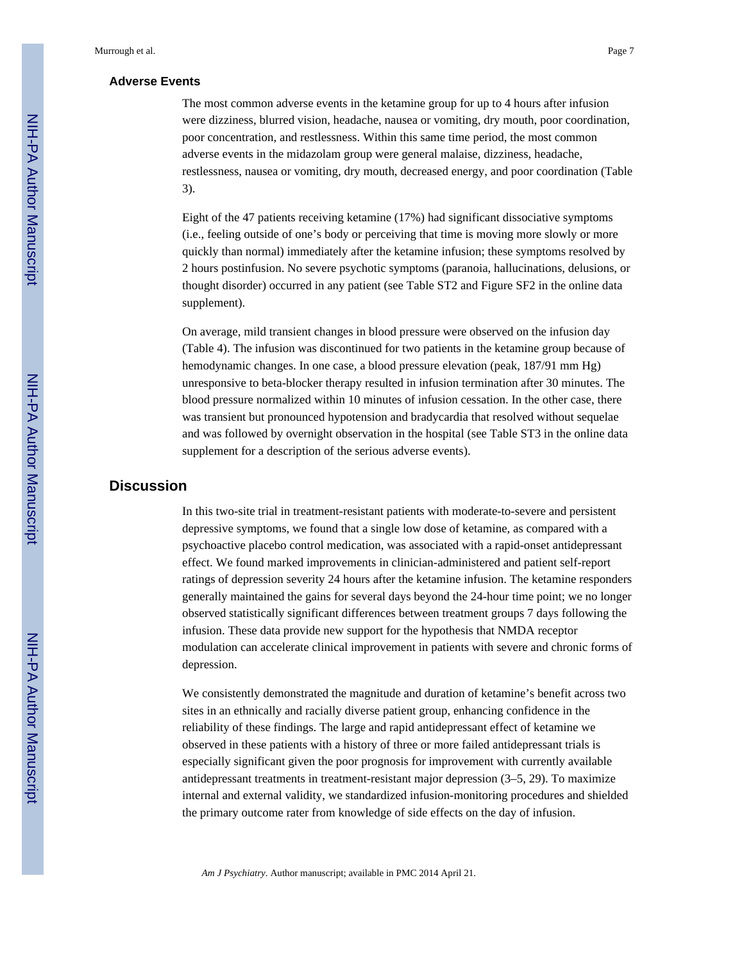#### **Adverse Events**

The most common adverse events in the ketamine group for up to 4 hours after infusion were dizziness, blurred vision, headache, nausea or vomiting, dry mouth, poor coordination, poor concentration, and restlessness. Within this same time period, the most common adverse events in the midazolam group were general malaise, dizziness, headache, restlessness, nausea or vomiting, dry mouth, decreased energy, and poor coordination (Table 3).

Eight of the 47 patients receiving ketamine (17%) had significant dissociative symptoms (i.e., feeling outside of one's body or perceiving that time is moving more slowly or more quickly than normal) immediately after the ketamine infusion; these symptoms resolved by 2 hours postinfusion. No severe psychotic symptoms (paranoia, hallucinations, delusions, or thought disorder) occurred in any patient (see Table ST2 and Figure SF2 in the online data supplement).

On average, mild transient changes in blood pressure were observed on the infusion day (Table 4). The infusion was discontinued for two patients in the ketamine group because of hemodynamic changes. In one case, a blood pressure elevation (peak, 187/91 mm Hg) unresponsive to beta-blocker therapy resulted in infusion termination after 30 minutes. The blood pressure normalized within 10 minutes of infusion cessation. In the other case, there was transient but pronounced hypotension and bradycardia that resolved without sequelae and was followed by overnight observation in the hospital (see Table ST3 in the online data supplement for a description of the serious adverse events).

#### **Discussion**

In this two-site trial in treatment-resistant patients with moderate-to-severe and persistent depressive symptoms, we found that a single low dose of ketamine, as compared with a psychoactive placebo control medication, was associated with a rapid-onset antidepressant effect. We found marked improvements in clinician-administered and patient self-report ratings of depression severity 24 hours after the ketamine infusion. The ketamine responders generally maintained the gains for several days beyond the 24-hour time point; we no longer observed statistically significant differences between treatment groups 7 days following the infusion. These data provide new support for the hypothesis that NMDA receptor modulation can accelerate clinical improvement in patients with severe and chronic forms of depression.

We consistently demonstrated the magnitude and duration of ketamine's benefit across two sites in an ethnically and racially diverse patient group, enhancing confidence in the reliability of these findings. The large and rapid antidepressant effect of ketamine we observed in these patients with a history of three or more failed antidepressant trials is especially significant given the poor prognosis for improvement with currently available antidepressant treatments in treatment-resistant major depression  $(3-5, 29)$ . To maximize internal and external validity, we standardized infusion-monitoring procedures and shielded the primary outcome rater from knowledge of side effects on the day of infusion.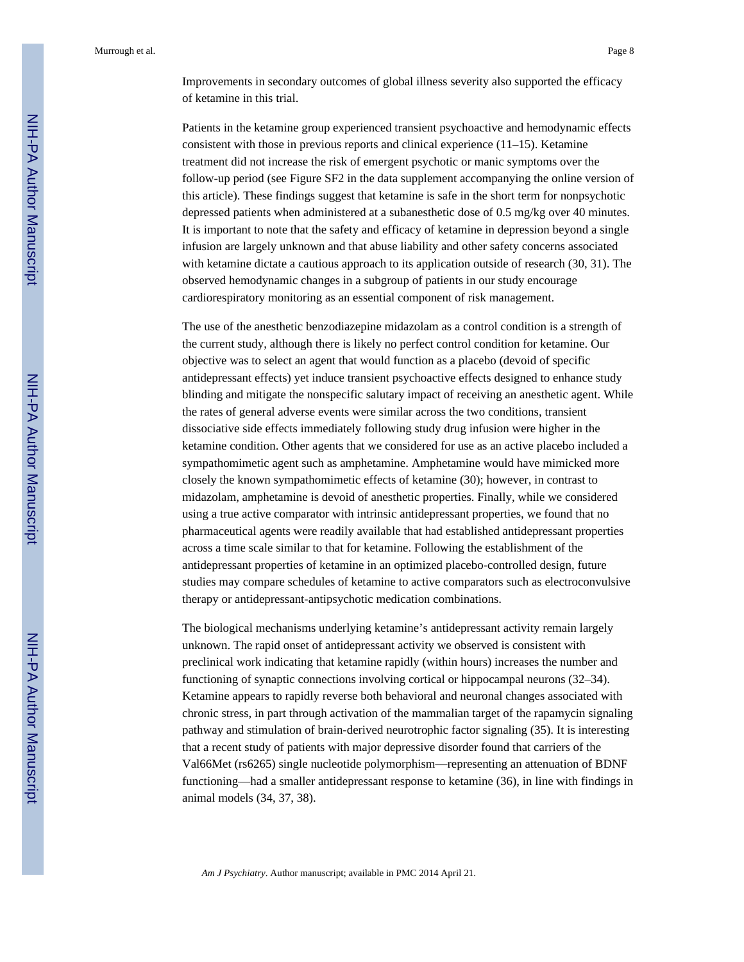Improvements in secondary outcomes of global illness severity also supported the efficacy of ketamine in this trial.

Patients in the ketamine group experienced transient psychoactive and hemodynamic effects consistent with those in previous reports and clinical experience  $(11-15)$ . Ketamine treatment did not increase the risk of emergent psychotic or manic symptoms over the follow-up period (see Figure SF2 in the data supplement accompanying the online version of this article). These findings suggest that ketamine is safe in the short term for nonpsychotic depressed patients when administered at a subanesthetic dose of 0.5 mg/kg over 40 minutes. It is important to note that the safety and efficacy of ketamine in depression beyond a single infusion are largely unknown and that abuse liability and other safety concerns associated with ketamine dictate a cautious approach to its application outside of research (30, 31). The observed hemodynamic changes in a subgroup of patients in our study encourage cardiorespiratory monitoring as an essential component of risk management.

The use of the anesthetic benzodiazepine midazolam as a control condition is a strength of the current study, although there is likely no perfect control condition for ketamine. Our objective was to select an agent that would function as a placebo (devoid of specific antidepressant effects) yet induce transient psychoactive effects designed to enhance study blinding and mitigate the nonspecific salutary impact of receiving an anesthetic agent. While the rates of general adverse events were similar across the two conditions, transient dissociative side effects immediately following study drug infusion were higher in the ketamine condition. Other agents that we considered for use as an active placebo included a sympathomimetic agent such as amphetamine. Amphetamine would have mimicked more closely the known sympathomimetic effects of ketamine (30); however, in contrast to midazolam, amphetamine is devoid of anesthetic properties. Finally, while we considered using a true active comparator with intrinsic antidepressant properties, we found that no pharmaceutical agents were readily available that had established antidepressant properties across a time scale similar to that for ketamine. Following the establishment of the antidepressant properties of ketamine in an optimized placebo-controlled design, future studies may compare schedules of ketamine to active comparators such as electroconvulsive therapy or antidepressant-antipsychotic medication combinations.

The biological mechanisms underlying ketamine's antidepressant activity remain largely unknown. The rapid onset of antidepressant activity we observed is consistent with preclinical work indicating that ketamine rapidly (within hours) increases the number and functioning of synaptic connections involving cortical or hippocampal neurons (32–34). Ketamine appears to rapidly reverse both behavioral and neuronal changes associated with chronic stress, in part through activation of the mammalian target of the rapamycin signaling pathway and stimulation of brain-derived neurotrophic factor signaling (35). It is interesting that a recent study of patients with major depressive disorder found that carriers of the Val66Met (rs6265) single nucleotide polymorphism—representing an attenuation of BDNF functioning—had a smaller antidepressant response to ketamine (36), in line with findings in animal models (34, 37, 38).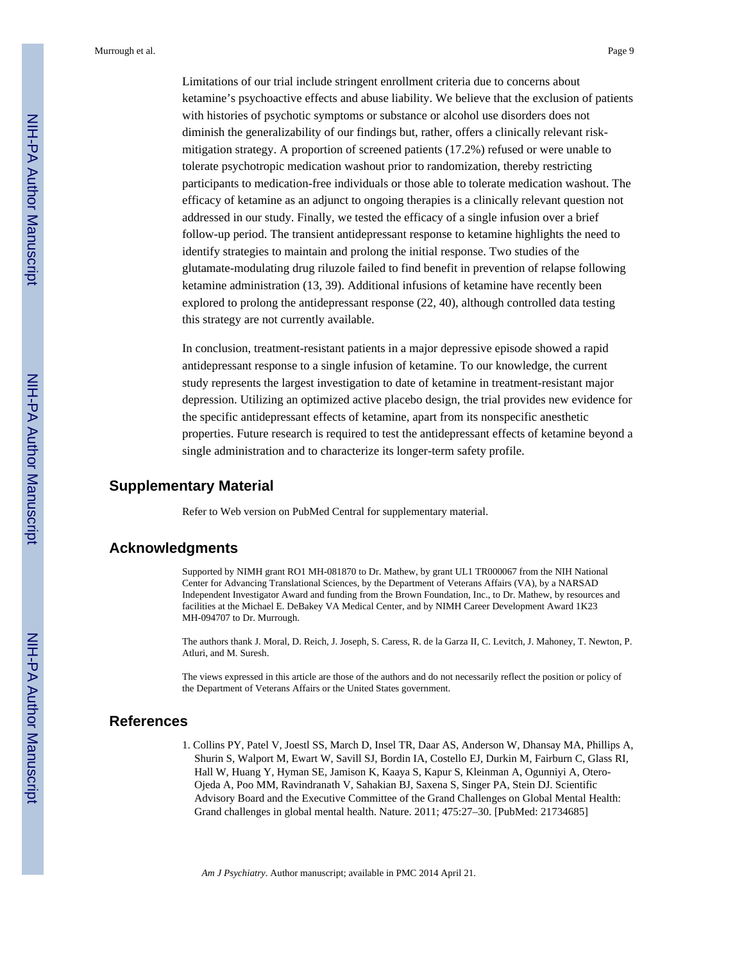Limitations of our trial include stringent enrollment criteria due to concerns about ketamine's psychoactive effects and abuse liability. We believe that the exclusion of patients with histories of psychotic symptoms or substance or alcohol use disorders does not diminish the generalizability of our findings but, rather, offers a clinically relevant riskmitigation strategy. A proportion of screened patients (17.2%) refused or were unable to tolerate psychotropic medication washout prior to randomization, thereby restricting participants to medication-free individuals or those able to tolerate medication washout. The efficacy of ketamine as an adjunct to ongoing therapies is a clinically relevant question not addressed in our study. Finally, we tested the efficacy of a single infusion over a brief follow-up period. The transient antidepressant response to ketamine highlights the need to identify strategies to maintain and prolong the initial response. Two studies of the glutamate-modulating drug riluzole failed to find benefit in prevention of relapse following ketamine administration (13, 39). Additional infusions of ketamine have recently been explored to prolong the antidepressant response (22, 40), although controlled data testing this strategy are not currently available.

In conclusion, treatment-resistant patients in a major depressive episode showed a rapid antidepressant response to a single infusion of ketamine. To our knowledge, the current study represents the largest investigation to date of ketamine in treatment-resistant major depression. Utilizing an optimized active placebo design, the trial provides new evidence for the specific antidepressant effects of ketamine, apart from its nonspecific anesthetic properties. Future research is required to test the antidepressant effects of ketamine beyond a single administration and to characterize its longer-term safety profile.

#### **Supplementary Material**

Refer to Web version on PubMed Central for supplementary material.

#### **Acknowledgments**

Supported by NIMH grant RO1 MH-081870 to Dr. Mathew, by grant UL1 TR000067 from the NIH National Center for Advancing Translational Sciences, by the Department of Veterans Affairs (VA), by a NARSAD Independent Investigator Award and funding from the Brown Foundation, Inc., to Dr. Mathew, by resources and facilities at the Michael E. DeBakey VA Medical Center, and by NIMH Career Development Award 1K23 MH-094707 to Dr. Murrough.

The authors thank J. Moral, D. Reich, J. Joseph, S. Caress, R. de la Garza II, C. Levitch, J. Mahoney, T. Newton, P. Atluri, and M. Suresh.

The views expressed in this article are those of the authors and do not necessarily reflect the position or policy of the Department of Veterans Affairs or the United States government.

#### **References**

1. Collins PY, Patel V, Joestl SS, March D, Insel TR, Daar AS, Anderson W, Dhansay MA, Phillips A, Shurin S, Walport M, Ewart W, Savill SJ, Bordin IA, Costello EJ, Durkin M, Fairburn C, Glass RI, Hall W, Huang Y, Hyman SE, Jamison K, Kaaya S, Kapur S, Kleinman A, Ogunniyi A, Otero-Ojeda A, Poo MM, Ravindranath V, Sahakian BJ, Saxena S, Singer PA, Stein DJ. Scientific Advisory Board and the Executive Committee of the Grand Challenges on Global Mental Health: Grand challenges in global mental health. Nature. 2011; 475:27–30. [PubMed: 21734685]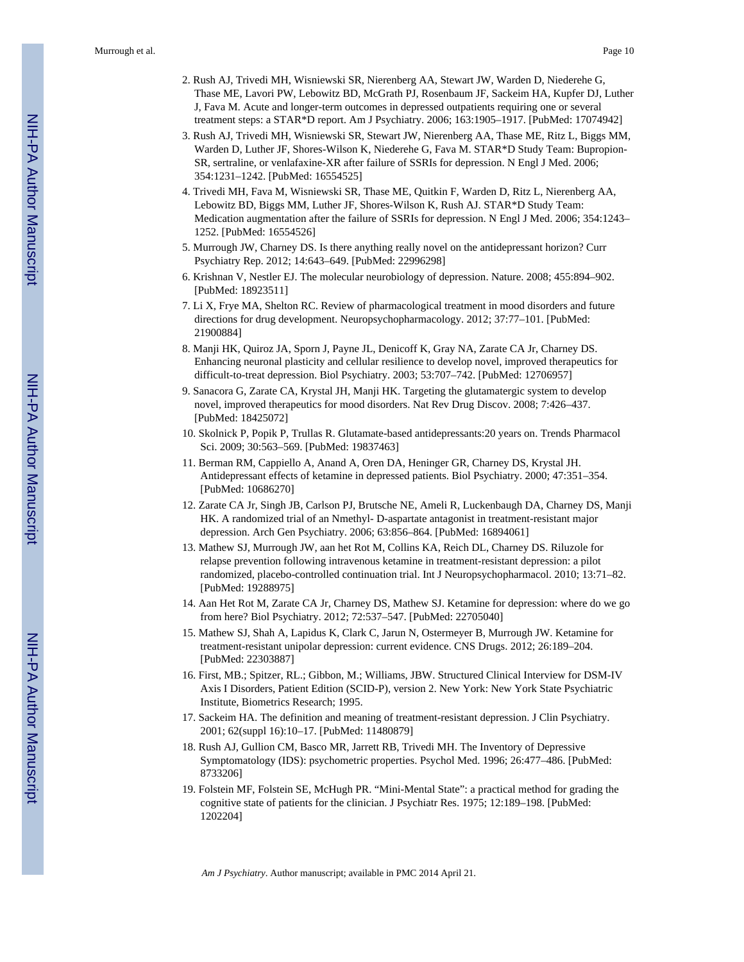- 2. Rush AJ, Trivedi MH, Wisniewski SR, Nierenberg AA, Stewart JW, Warden D, Niederehe G, Thase ME, Lavori PW, Lebowitz BD, McGrath PJ, Rosenbaum JF, Sackeim HA, Kupfer DJ, Luther J, Fava M. Acute and longer-term outcomes in depressed outpatients requiring one or several treatment steps: a STAR\*D report. Am J Psychiatry. 2006; 163:1905–1917. [PubMed: 17074942]
- 3. Rush AJ, Trivedi MH, Wisniewski SR, Stewart JW, Nierenberg AA, Thase ME, Ritz L, Biggs MM, Warden D, Luther JF, Shores-Wilson K, Niederehe G, Fava M. STAR\*D Study Team: Bupropion-SR, sertraline, or venlafaxine-XR after failure of SSRIs for depression. N Engl J Med. 2006; 354:1231–1242. [PubMed: 16554525]
- 4. Trivedi MH, Fava M, Wisniewski SR, Thase ME, Quitkin F, Warden D, Ritz L, Nierenberg AA, Lebowitz BD, Biggs MM, Luther JF, Shores-Wilson K, Rush AJ. STAR\*D Study Team: Medication augmentation after the failure of SSRIs for depression. N Engl J Med. 2006; 354:1243– 1252. [PubMed: 16554526]
- 5. Murrough JW, Charney DS. Is there anything really novel on the antidepressant horizon? Curr Psychiatry Rep. 2012; 14:643–649. [PubMed: 22996298]
- 6. Krishnan V, Nestler EJ. The molecular neurobiology of depression. Nature. 2008; 455:894–902. [PubMed: 18923511]
- 7. Li X, Frye MA, Shelton RC. Review of pharmacological treatment in mood disorders and future directions for drug development. Neuropsychopharmacology. 2012; 37:77–101. [PubMed: 21900884]
- 8. Manji HK, Quiroz JA, Sporn J, Payne JL, Denicoff K, Gray NA, Zarate CA Jr, Charney DS. Enhancing neuronal plasticity and cellular resilience to develop novel, improved therapeutics for difficult-to-treat depression. Biol Psychiatry. 2003; 53:707–742. [PubMed: 12706957]
- 9. Sanacora G, Zarate CA, Krystal JH, Manji HK. Targeting the glutamatergic system to develop novel, improved therapeutics for mood disorders. Nat Rev Drug Discov. 2008; 7:426–437. [PubMed: 18425072]
- 10. Skolnick P, Popik P, Trullas R. Glutamate-based antidepressants:20 years on. Trends Pharmacol Sci. 2009; 30:563–569. [PubMed: 19837463]
- 11. Berman RM, Cappiello A, Anand A, Oren DA, Heninger GR, Charney DS, Krystal JH. Antidepressant effects of ketamine in depressed patients. Biol Psychiatry. 2000; 47:351–354. [PubMed: 10686270]
- 12. Zarate CA Jr, Singh JB, Carlson PJ, Brutsche NE, Ameli R, Luckenbaugh DA, Charney DS, Manji HK. A randomized trial of an Nmethyl- D-aspartate antagonist in treatment-resistant major depression. Arch Gen Psychiatry. 2006; 63:856–864. [PubMed: 16894061]
- 13. Mathew SJ, Murrough JW, aan het Rot M, Collins KA, Reich DL, Charney DS. Riluzole for relapse prevention following intravenous ketamine in treatment-resistant depression: a pilot randomized, placebo-controlled continuation trial. Int J Neuropsychopharmacol. 2010; 13:71–82. [PubMed: 19288975]
- 14. Aan Het Rot M, Zarate CA Jr, Charney DS, Mathew SJ. Ketamine for depression: where do we go from here? Biol Psychiatry. 2012; 72:537–547. [PubMed: 22705040]
- 15. Mathew SJ, Shah A, Lapidus K, Clark C, Jarun N, Ostermeyer B, Murrough JW. Ketamine for treatment-resistant unipolar depression: current evidence. CNS Drugs. 2012; 26:189–204. [PubMed: 22303887]
- 16. First, MB.; Spitzer, RL.; Gibbon, M.; Williams, JBW. Structured Clinical Interview for DSM-IV Axis I Disorders, Patient Edition (SCID-P), version 2. New York: New York State Psychiatric Institute, Biometrics Research; 1995.
- 17. Sackeim HA. The definition and meaning of treatment-resistant depression. J Clin Psychiatry. 2001; 62(suppl 16):10–17. [PubMed: 11480879]
- 18. Rush AJ, Gullion CM, Basco MR, Jarrett RB, Trivedi MH. The Inventory of Depressive Symptomatology (IDS): psychometric properties. Psychol Med. 1996; 26:477–486. [PubMed: 8733206]
- 19. Folstein MF, Folstein SE, McHugh PR. "Mini-Mental State": a practical method for grading the cognitive state of patients for the clinician. J Psychiatr Res. 1975; 12:189–198. [PubMed: 1202204]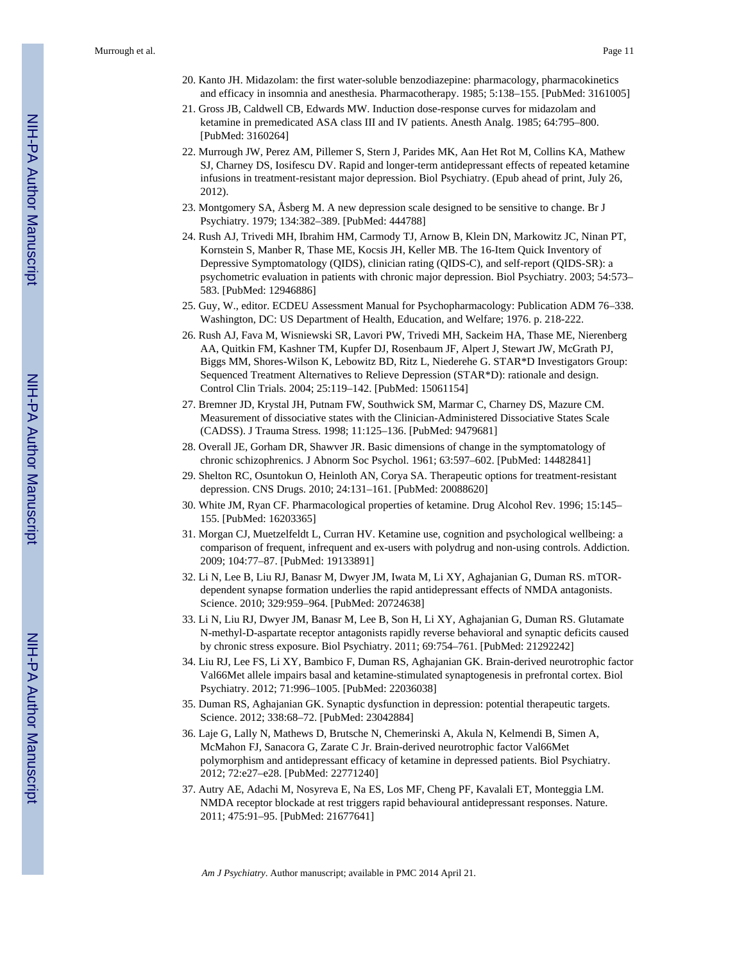- 20. Kanto JH. Midazolam: the first water-soluble benzodiazepine: pharmacology, pharmacokinetics and efficacy in insomnia and anesthesia. Pharmacotherapy. 1985; 5:138–155. [PubMed: 3161005]
- 21. Gross JB, Caldwell CB, Edwards MW. Induction dose-response curves for midazolam and ketamine in premedicated ASA class III and IV patients. Anesth Analg. 1985; 64:795–800. [PubMed: 3160264]
- 22. Murrough JW, Perez AM, Pillemer S, Stern J, Parides MK, Aan Het Rot M, Collins KA, Mathew SJ, Charney DS, Iosifescu DV. Rapid and longer-term antidepressant effects of repeated ketamine infusions in treatment-resistant major depression. Biol Psychiatry. (Epub ahead of print, July 26, 2012).
- 23. Montgomery SA, Åsberg M. A new depression scale designed to be sensitive to change. Br J Psychiatry. 1979; 134:382–389. [PubMed: 444788]
- 24. Rush AJ, Trivedi MH, Ibrahim HM, Carmody TJ, Arnow B, Klein DN, Markowitz JC, Ninan PT, Kornstein S, Manber R, Thase ME, Kocsis JH, Keller MB. The 16-Item Quick Inventory of Depressive Symptomatology (QIDS), clinician rating (QIDS-C), and self-report (QIDS-SR): a psychometric evaluation in patients with chronic major depression. Biol Psychiatry. 2003; 54:573– 583. [PubMed: 12946886]
- 25. Guy, W., editor. ECDEU Assessment Manual for Psychopharmacology: Publication ADM 76–338. Washington, DC: US Department of Health, Education, and Welfare; 1976. p. 218-222.
- 26. Rush AJ, Fava M, Wisniewski SR, Lavori PW, Trivedi MH, Sackeim HA, Thase ME, Nierenberg AA, Quitkin FM, Kashner TM, Kupfer DJ, Rosenbaum JF, Alpert J, Stewart JW, McGrath PJ, Biggs MM, Shores-Wilson K, Lebowitz BD, Ritz L, Niederehe G. STAR\*D Investigators Group: Sequenced Treatment Alternatives to Relieve Depression (STAR\*D): rationale and design. Control Clin Trials. 2004; 25:119–142. [PubMed: 15061154]
- 27. Bremner JD, Krystal JH, Putnam FW, Southwick SM, Marmar C, Charney DS, Mazure CM. Measurement of dissociative states with the Clinician-Administered Dissociative States Scale (CADSS). J Trauma Stress. 1998; 11:125–136. [PubMed: 9479681]
- 28. Overall JE, Gorham DR, Shawver JR. Basic dimensions of change in the symptomatology of chronic schizophrenics. J Abnorm Soc Psychol. 1961; 63:597–602. [PubMed: 14482841]
- 29. Shelton RC, Osuntokun O, Heinloth AN, Corya SA. Therapeutic options for treatment-resistant depression. CNS Drugs. 2010; 24:131–161. [PubMed: 20088620]
- 30. White JM, Ryan CF. Pharmacological properties of ketamine. Drug Alcohol Rev. 1996; 15:145– 155. [PubMed: 16203365]
- 31. Morgan CJ, Muetzelfeldt L, Curran HV. Ketamine use, cognition and psychological wellbeing: a comparison of frequent, infrequent and ex-users with polydrug and non-using controls. Addiction. 2009; 104:77–87. [PubMed: 19133891]
- 32. Li N, Lee B, Liu RJ, Banasr M, Dwyer JM, Iwata M, Li XY, Aghajanian G, Duman RS. mTORdependent synapse formation underlies the rapid antidepressant effects of NMDA antagonists. Science. 2010; 329:959–964. [PubMed: 20724638]
- 33. Li N, Liu RJ, Dwyer JM, Banasr M, Lee B, Son H, Li XY, Aghajanian G, Duman RS. Glutamate N-methyl-D-aspartate receptor antagonists rapidly reverse behavioral and synaptic deficits caused by chronic stress exposure. Biol Psychiatry. 2011; 69:754–761. [PubMed: 21292242]
- 34. Liu RJ, Lee FS, Li XY, Bambico F, Duman RS, Aghajanian GK. Brain-derived neurotrophic factor Val66Met allele impairs basal and ketamine-stimulated synaptogenesis in prefrontal cortex. Biol Psychiatry. 2012; 71:996–1005. [PubMed: 22036038]
- 35. Duman RS, Aghajanian GK. Synaptic dysfunction in depression: potential therapeutic targets. Science. 2012; 338:68–72. [PubMed: 23042884]
- 36. Laje G, Lally N, Mathews D, Brutsche N, Chemerinski A, Akula N, Kelmendi B, Simen A, McMahon FJ, Sanacora G, Zarate C Jr. Brain-derived neurotrophic factor Val66Met polymorphism and antidepressant efficacy of ketamine in depressed patients. Biol Psychiatry. 2012; 72:e27–e28. [PubMed: 22771240]
- 37. Autry AE, Adachi M, Nosyreva E, Na ES, Los MF, Cheng PF, Kavalali ET, Monteggia LM. NMDA receptor blockade at rest triggers rapid behavioural antidepressant responses. Nature. 2011; 475:91–95. [PubMed: 21677641]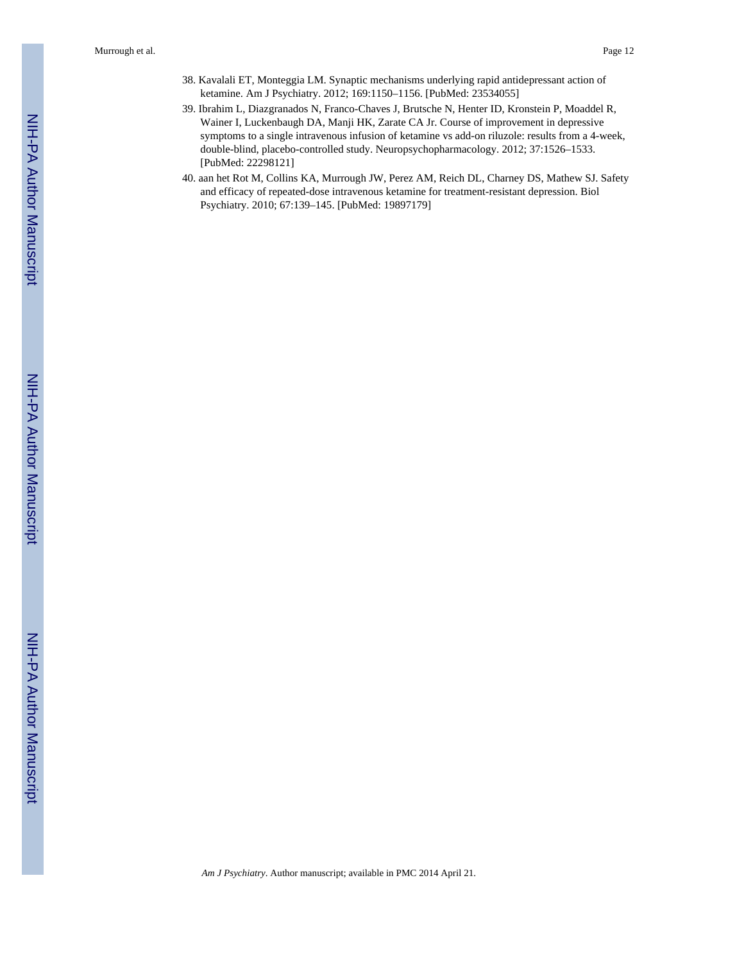- 38. Kavalali ET, Monteggia LM. Synaptic mechanisms underlying rapid antidepressant action of ketamine. Am J Psychiatry. 2012; 169:1150–1156. [PubMed: 23534055]
- 39. Ibrahim L, Diazgranados N, Franco-Chaves J, Brutsche N, Henter ID, Kronstein P, Moaddel R, Wainer I, Luckenbaugh DA, Manji HK, Zarate CA Jr. Course of improvement in depressive symptoms to a single intravenous infusion of ketamine vs add-on riluzole: results from a 4-week, double-blind, placebo-controlled study. Neuropsychopharmacology. 2012; 37:1526–1533. [PubMed: 22298121]
- 40. aan het Rot M, Collins KA, Murrough JW, Perez AM, Reich DL, Charney DS, Mathew SJ. Safety and efficacy of repeated-dose intravenous ketamine for treatment-resistant depression. Biol Psychiatry. 2010; 67:139–145. [PubMed: 19897179]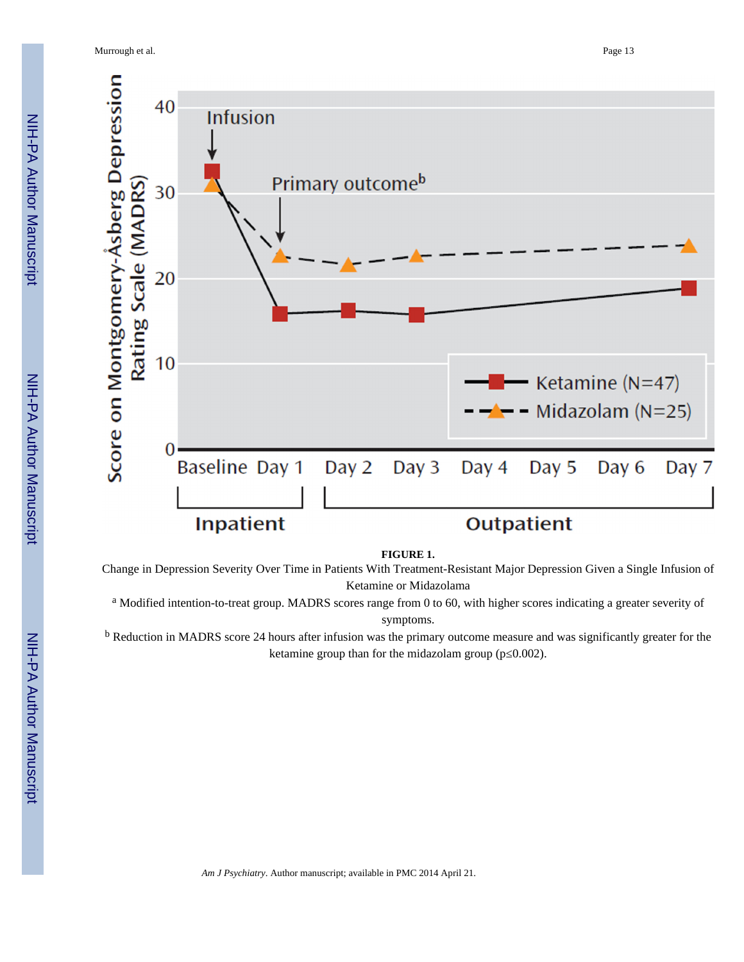Murrough et al. Page 13



**FIGURE 1.**

Change in Depression Severity Over Time in Patients With Treatment-Resistant Major Depression Given a Single Infusion of Ketamine or Midazolama

<sup>a</sup> Modified intention-to-treat group. MADRS scores range from 0 to 60, with higher scores indicating a greater severity of symptoms.

<sup>b</sup> Reduction in MADRS score 24 hours after infusion was the primary outcome measure and was significantly greater for the ketamine group than for the midazolam group ( $p$  0.002).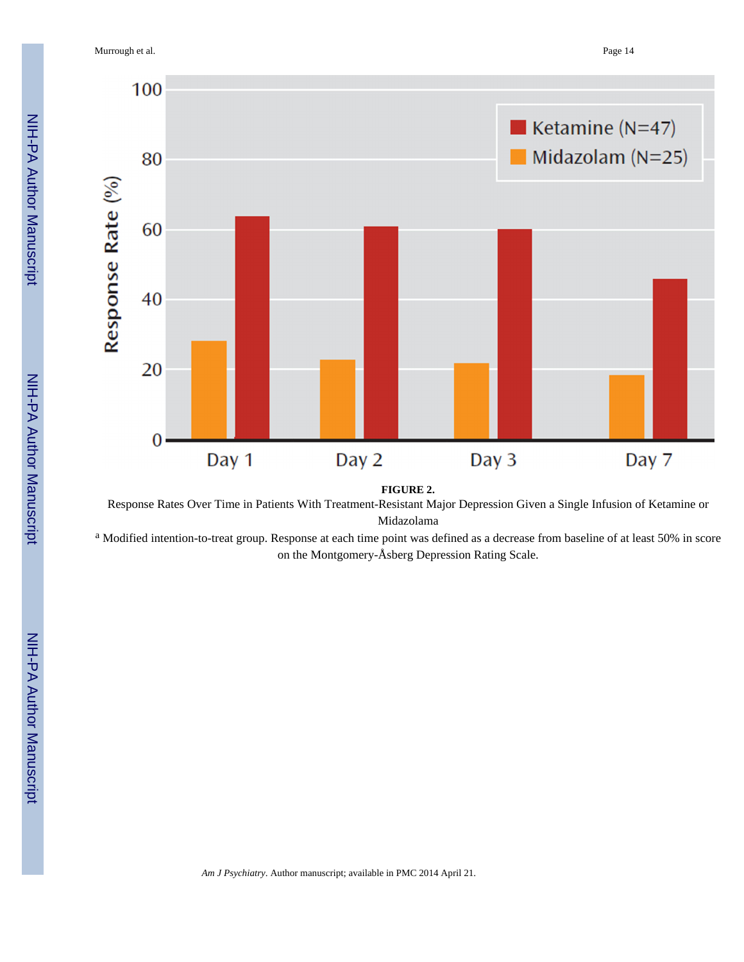Murrough et al. Page 14



**FIGURE 2.**

Response Rates Over Time in Patients With Treatment-Resistant Major Depression Given a Single Infusion of Ketamine or Midazolama

<sup>a</sup> Modified intention-to-treat group. Response at each time point was defined as a decrease from baseline of at least 50% in score on the Montgomery-Åsberg Depression Rating Scale.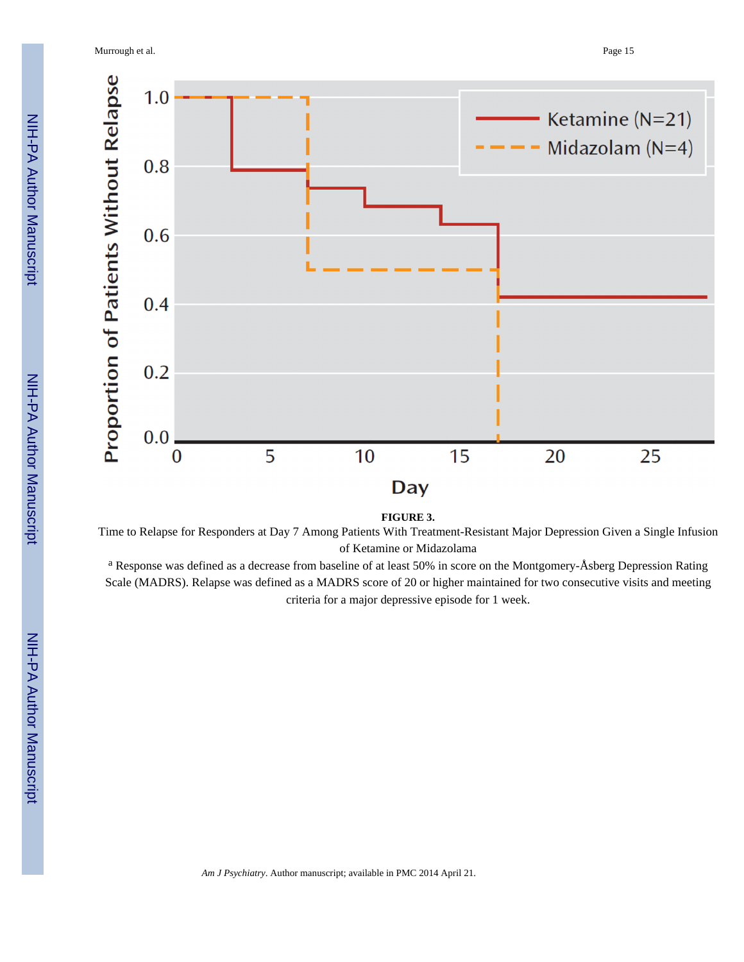Murrough et al. Page 15



**FIGURE 3.**

Time to Relapse for Responders at Day 7 Among Patients With Treatment-Resistant Major Depression Given a Single Infusion of Ketamine or Midazolama

<sup>a</sup> Response was defined as a decrease from baseline of at least 50% in score on the Montgomery-Åsberg Depression Rating Scale (MADRS). Relapse was defined as a MADRS score of 20 or higher maintained for two consecutive visits and meeting criteria for a major depressive episode for 1 week.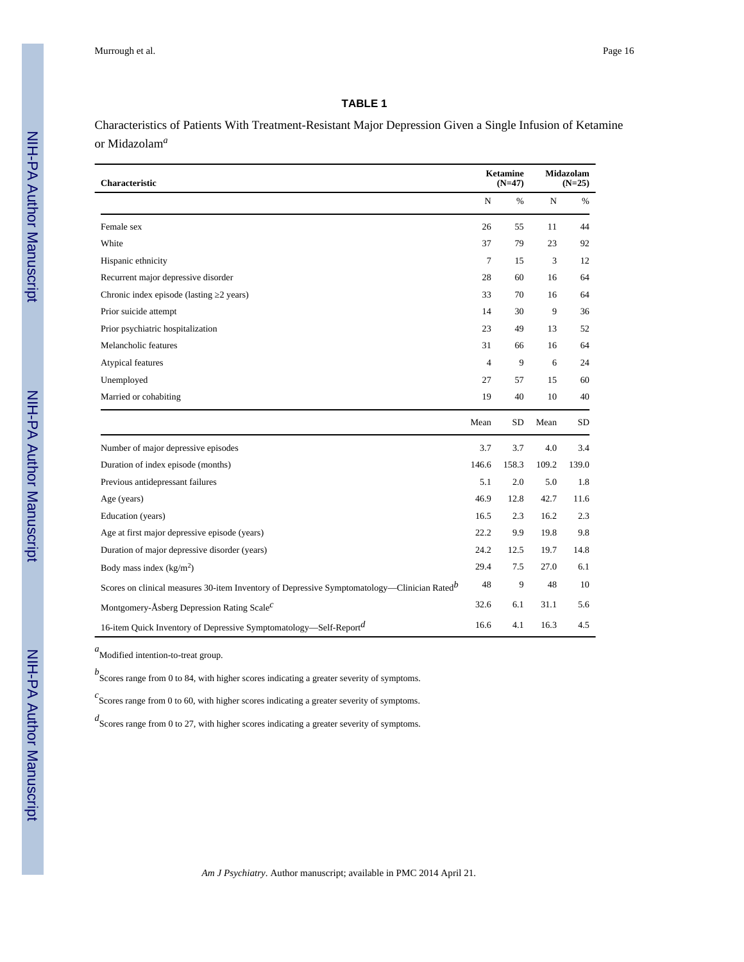#### **TABLE 1**

Characteristics of Patients With Treatment-Resistant Major Depression Given a Single Infusion of Ketamine or Midazolam*<sup>a</sup>*

| Characteristic                                                                                          |                | Ketamine<br>$(N=47)$ |           | Midazolam<br>$(N=25)$ |
|---------------------------------------------------------------------------------------------------------|----------------|----------------------|-----------|-----------------------|
|                                                                                                         | $\mathbf N$    | $\%$                 | ${\bf N}$ | $\%$                  |
| Female sex                                                                                              | 26             | 55                   | 11        | 44                    |
| White                                                                                                   | 37             | 79                   | 23        | 92                    |
| Hispanic ethnicity                                                                                      | $\overline{7}$ | 15                   | 3         | 12                    |
| Recurrent major depressive disorder                                                                     | 28             | 60                   | 16        | 64                    |
| Chronic index episode (lasting 2 years)                                                                 | 33             | 70                   | 16        | 64                    |
| Prior suicide attempt                                                                                   | 14             | 30                   | 9         | 36                    |
| Prior psychiatric hospitalization                                                                       | 23             | 49                   | 13        | 52                    |
| Melancholic features                                                                                    | 31             | 66                   | 16        | 64                    |
| Atypical features                                                                                       | $\overline{4}$ | 9                    | 6         | 24                    |
| Unemployed                                                                                              | 27             | 57                   | 15        | 60                    |
| Married or cohabiting                                                                                   | 19             | 40                   | 10        | 40                    |
|                                                                                                         | Mean           | <b>SD</b>            | Mean      | ${\rm SD}$            |
| Number of major depressive episodes                                                                     | 3.7            | 3.7                  | 4.0       | 3.4                   |
| Duration of index episode (months)                                                                      | 146.6          | 158.3                | 109.2     | 139.0                 |
| Previous antidepressant failures                                                                        | 5.1            | 2.0                  | 5.0       | 1.8                   |
| Age (years)                                                                                             | 46.9           | 12.8                 | 42.7      | 11.6                  |
| Education (years)                                                                                       | 16.5           | 2.3                  | 16.2      | 2.3                   |
| Age at first major depressive episode (years)                                                           | 22.2           | 9.9                  | 19.8      | 9.8                   |
| Duration of major depressive disorder (years)                                                           | 24.2           | 12.5                 | 19.7      | 14.8                  |
| Body mass index $(kg/m2)$                                                                               | 29.4           | 7.5                  | 27.0      | 6.1                   |
| Scores on clinical measures 30-item Inventory of Depressive Symptomatology—Clinician Rated <sup>b</sup> | 48             | 9                    | 48        | 10                    |
| Montgomery-Åsberg Depression Rating Scale <sup><math>C</math></sup>                                     | 32.6           | 6.1                  | 31.1      | 5.6                   |
| 16-item Quick Inventory of Depressive Symptomatology—Self-Report <sup>d</sup>                           | 16.6           | 4.1                  | 16.3      | 4.5                   |

*<sup>a</sup>*Modified intention-to-treat group.

*b* Scores range from 0 to 84, with higher scores indicating a greater severity of symptoms.

*c* Scores range from 0 to 60, with higher scores indicating a greater severity of symptoms.

*d* Scores range from 0 to 27, with higher scores indicating a greater severity of symptoms.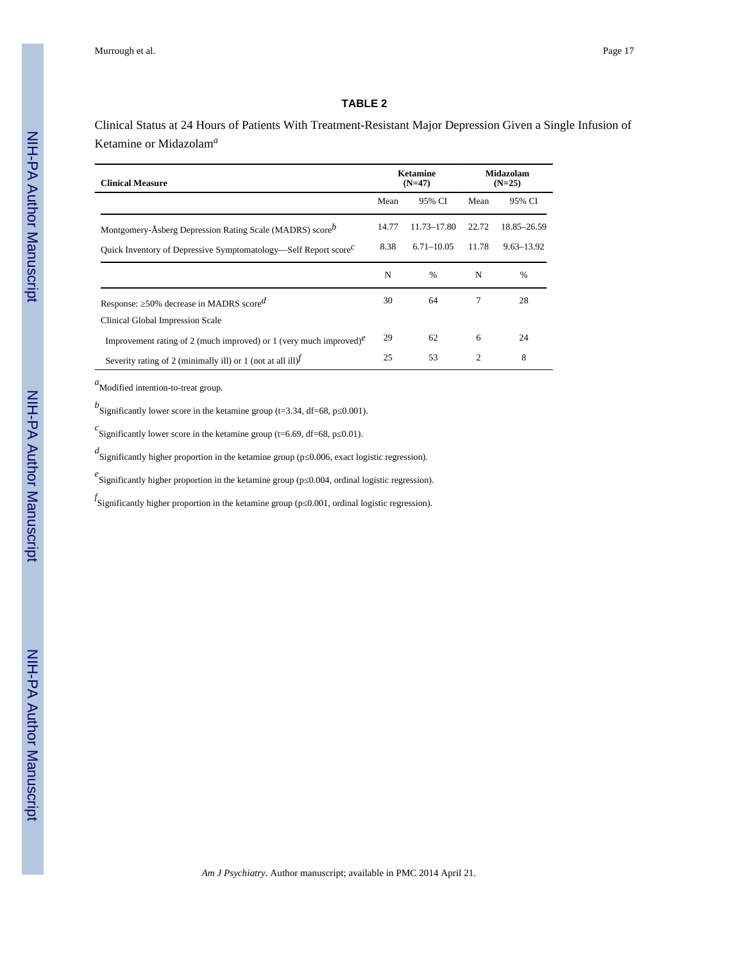#### **TABLE 2**

Clinical Status at 24 Hours of Patients With Treatment-Resistant Major Depression Given a Single Infusion of Ketamine or Midazolam*<sup>a</sup>*

| <b>Clinical Measure</b>                                                                  |       | <b>Ketamine</b><br>$(N=47)$ |                | Midazolam<br>$(N=25)$ |
|------------------------------------------------------------------------------------------|-------|-----------------------------|----------------|-----------------------|
|                                                                                          | Mean  | 95% CI                      | Mean           | 95% CI                |
| Montgomery-Åsberg Depression Rating Scale (MADRS) scoreb                                 | 14.77 | 11.73-17.80                 | 22.72          | 18.85-26.59           |
| Quick Inventory of Depressive Symptomatology—Self Report score <sup><math>c</math></sup> | 8.38  | $6.71 - 10.05$              | 11.78          | $9.63 - 13.92$        |
|                                                                                          | N     | $\frac{0}{6}$               | N              | %                     |
| Response: 50% decrease in MADRS score <sup>d</sup>                                       | 30    | 64                          | 7              | 28                    |
| Clinical Global Impression Scale                                                         |       |                             |                |                       |
| Improvement rating of 2 (much improved) or 1 (very much improved) $e^{\theta}$           | 29    | 62                          | 6              | 24                    |
| Severity rating of 2 (minimally ill) or 1 (not at all ill) <sup><math>f</math></sup>     | 25    | 53                          | $\overline{2}$ | 8                     |

*<sup>a</sup>*Modified intention-to-treat group.

 $b$ <br>Significantly lower score in the ketamine group (t=3.34, df=68, p 0.001).

 $c$ Significantly lower score in the ketamine group (t=6.69, df=68, p 0.01).

*d*</sup> Significantly higher proportion in the ketamine group (p 0.006, exact logistic regression).

*e*<br>
Significantly higher proportion in the ketamine group (p 0.004, ordinal logistic regression).

*f*</sup>Significantly higher proportion in the ketamine group (p 0.001, ordinal logistic regression).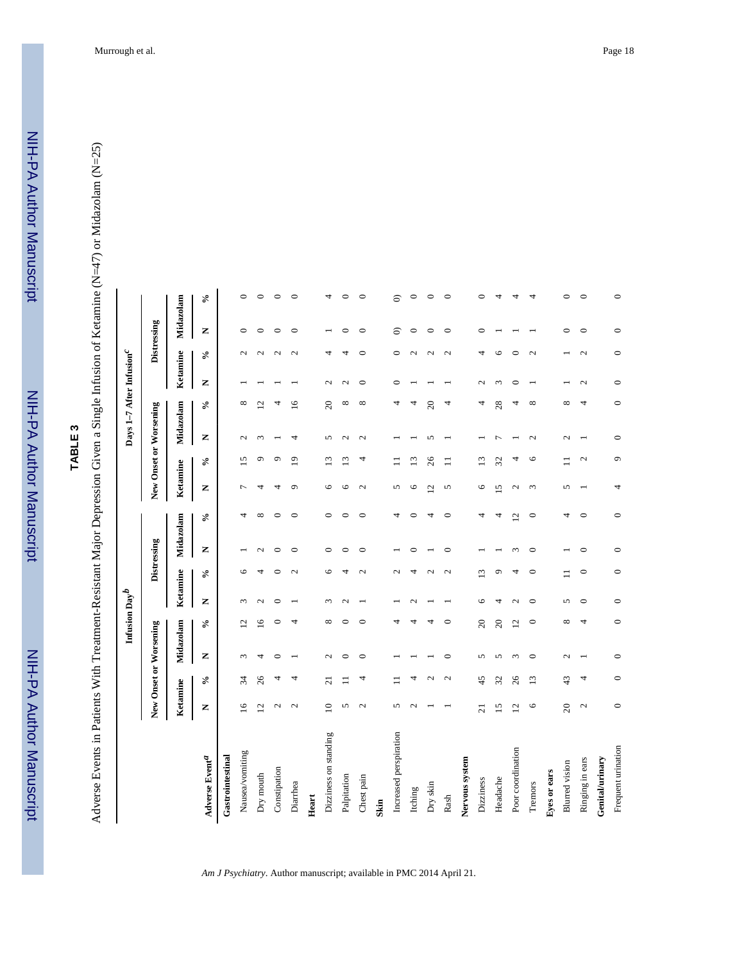# **TABLE 3**

Adverse Events in Patients With Treatment-Resistant Major Depression Given a Single Infusion of Ketamine (N=47) or Midazolam (N=25) Adverse Events in Patients With Treatment-Resistant Major Depression Given a Single Infusion of Ketamine (N=47) or Midazolam (N=25)

|                            |                 |                 |                        | Infusion $\mathrm{Day}^b$ |                 |                         |             |                         |                           |                            |                        | Days 1-7 After Infusion <sup>c</sup> |                          |                          |             |                         |
|----------------------------|-----------------|-----------------|------------------------|---------------------------|-----------------|-------------------------|-------------|-------------------------|---------------------------|----------------------------|------------------------|--------------------------------------|--------------------------|--------------------------|-------------|-------------------------|
|                            |                 |                 | New Onset or Worsening |                           |                 |                         | Distressing |                         |                           |                            | New Onset or Worsening |                                      |                          |                          | Distressing |                         |
|                            | Ketamine        |                 |                        | Midazolam                 |                 | Ketamine                | Midazolam   |                         | Ketamine                  |                            |                        | Midazolam                            | Ketamine                 |                          |             | Midazolam               |
| Adverse Event <sup>a</sup> | Z               | $\sim$          | z                      | $\epsilon$                | Z               | $\mathcal{S}_{\bullet}$ | z           | $\mathcal{S}_{\bullet}$ | Z                         | $\mathcal{S}_{\mathbf{0}}$ | Z                      | $\mathcal{S}_{\bullet}$              | Z                        | $\mathcal{S}_{\bullet}$  | z           | $\mathcal{S}_{\bullet}$ |
| Gastrointestinal           |                 |                 |                        |                           |                 |                         |             |                         |                           |                            |                        |                                      |                          |                          |             |                         |
| Nausea/vomiting            | $\overline{16}$ | 34              | $\sim$                 | $\overline{c}$            | 3               | $\circ$                 |             | ₹                       | 7                         | $\overline{5}$             | $\mathbf{C}$           | $\infty$                             |                          | $\mathbf{C}$             | $\circ$     | $\circ$                 |
| Dry mouth                  | $\mathbf{a}$    | 26              | 4                      | 91                        | $\sim$          | 4                       | $\sim$      | ${}^{\circ}$            | 4                         | $\circ$                    | $\omega$               | $\overline{c}$                       |                          | $\mathcal{L}$            | $\circ$     | $\circ$                 |
| Constipation               | $\mathbf{C}$    | 4               | ⊂                      | $\circ$                   | $\circ$         | $\circ$                 | $\circ$     | $\circ$                 | 4                         | $\circ$                    |                        | 4                                    |                          | $\mathbf{C}$             | $\circ$     | $\circ$                 |
| Diarrhea                   | $\sim$          | 4               |                        | 4                         |                 | $\sim$                  | $\circ$     | $\circ$                 | ۰                         | $\overline{0}$             | 4                      | $\overline{16}$                      |                          | $\mathbf{C}$             | $\circ$     | $\circ$                 |
| Heart                      |                 |                 |                        |                           |                 |                         |             |                         |                           |                            |                        |                                      |                          |                          |             |                         |
| Dizziness on standing      | $\overline{a}$  | $\overline{z}$  | $\mathbf{\sim}$        | $\infty$                  | 3               | 6                       | $\circ$     | $\circ$                 | 6                         | $\overline{13}$            | 5                      | $\overline{c}$                       | $\overline{\mathcal{C}}$ | 4                        |             | 4                       |
| Palpitation                | 5               | Ξ               | ⊂                      | ⊂                         | $\sim$          | 4                       | $\circ$     | $\circ$                 | $\circ$                   | $\overline{13}$            | $\mathbf{C}$           | $\infty$                             | $\mathbf{\sim}$          | 4                        | $\circ$     | $\circ$                 |
| Chest pain                 | $\mathbf{C}$    | 4               | $\circ$                | $\circ$                   |                 | $\sim$                  | $\circ$     | $\circ$                 | $\mathbf{C}$              | 4                          | $\mathbf{\Omega}$      | $\infty$                             | $\circ$                  | $\circ$                  | $\circ$     | $\circ$                 |
| Skin                       |                 |                 |                        |                           |                 |                         |             |                         |                           |                            |                        |                                      |                          |                          |             |                         |
| Increased perspiration     | 5               |                 |                        |                           |                 | $\sim$                  |             | 4                       | 5                         | Ξ                          |                        | 4                                    | $\circ$                  | $\circ$                  | ට           | S                       |
| Itching                    | $\sim$          |                 |                        |                           | $\mathbf{\sim}$ | ᆉ                       | ⊂           | ⊂                       | $\circ$                   | $\overline{13}$            |                        | 4                                    |                          | $\sim$                   | $\circ$     | $\circ$                 |
| Dry skin                   |                 | $\mathbf{\sim}$ |                        | 4                         |                 | $\mathbf{\sim}$         |             | 4                       | $\overline{\mathfrak{c}}$ | 26                         | 5                      | $\overline{c}$                       |                          | $\mathbf{\sim}$          | $\circ$     | $\circ$                 |
| Rash                       |                 | $\mathbf{c}$    | $\circ$                | $\circ$                   |                 | $\mathbf{c}$            | $\circ$     | $\circ$                 | 5                         | $\equiv$                   |                        | 4                                    |                          | $\overline{\mathcal{C}}$ | $\circ$     | $\circ$                 |
| Nervous system             |                 |                 |                        |                           |                 |                         |             |                         |                           |                            |                        |                                      |                          |                          |             |                         |
| Dizziness                  | $\overline{21}$ | 45              | $\sim$                 | $\Omega$                  | ৩               | S                       |             | 4                       | $\circ$                   | $\overline{13}$            |                        | 4                                    | $\mathbf{c}$             | 4                        | $\circ$     | $\circ$                 |
| Headache                   | $\overline{15}$ | 32              | 5                      | $\overline{c}$            | 4               | G                       |             | 4                       | S                         | 32                         | $\overline{ }$         | 28                                   | $\infty$                 | ٩                        |             | 4                       |
| Poor coordination          | $\overline{c}$  | 26              | $\sim$                 | $\overline{c}$            | $\sim$          | 4                       | $\sim$      | $\overline{C}$          | $\mathbf{C}$              | 4                          |                        | 4                                    | ⊂                        | ○                        |             | ₹                       |
| Tremors                    | $\circ$         | 13              | $\circ$                | $\circ$                   | $\circ$         | ⊂                       | $\circ$     | $\circ$                 | 3                         | ç                          | $\mathbf{C}$           | $\infty$                             |                          | $\mathbf{C}$             |             | 4                       |
| Eyes or ears               |                 |                 |                        |                           |                 |                         |             |                         |                           |                            |                        |                                      |                          |                          |             |                         |
| <b>Blurred</b> vision      | $\overline{c}$  | 43              | $\sim$                 | $\infty$                  | n               |                         |             | 4                       | 5                         | Ξ                          | $\sim$                 | $\infty$                             |                          |                          | $\circ$     | $\circ$                 |
| Ringing in ears            | $\mathbf{c}$    | 4               |                        | 4                         | $\circ$         | $\circ$                 | 0           | $\circ$                 |                           | $\mathcal{L}$              |                        | 4                                    | $\mathbf{c}$             | $\mathbf{c}$             | $\circ$     | $\circ$                 |
| Genital/urinary            |                 |                 |                        |                           |                 |                         |             |                         |                           |                            |                        |                                      |                          |                          |             |                         |
| Frequent urination         | $\circ$         | $\circ$         | $\circ$                | $\circ$                   | $\circ$         | $\circ$                 | $\circ$     | $\circ$                 | 4                         | $\sigma$                   | $\circ$                | $\circ$                              | $\circ$                  | $\circ$                  | $\circ$     | $\circ$                 |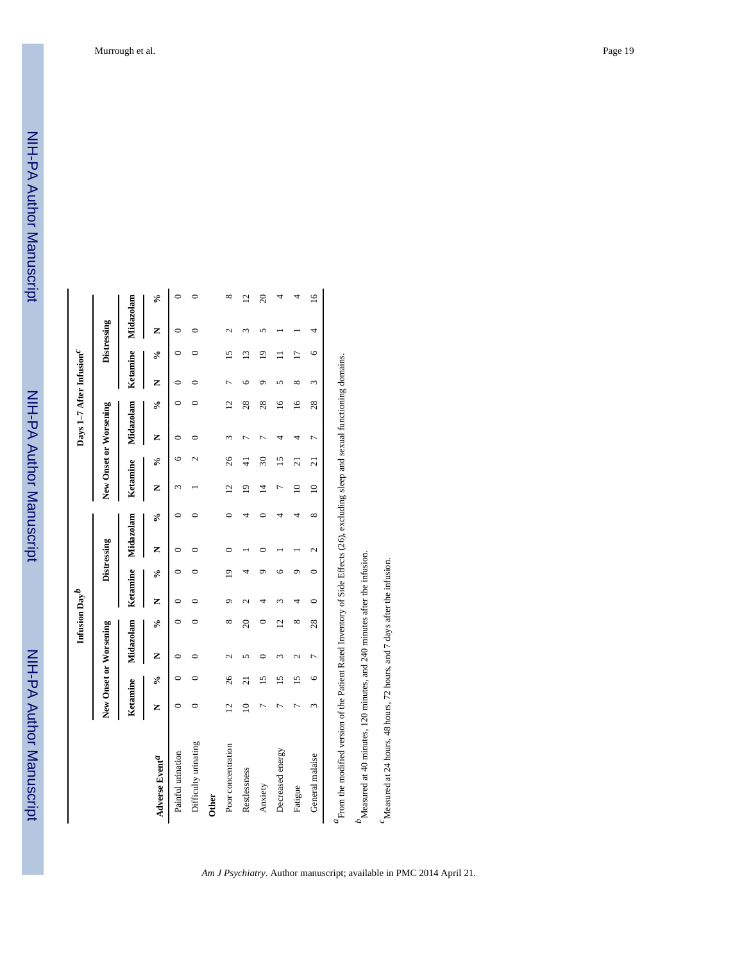|                                                                                                                                             |                |                 |                          | Infusion Day <sup>b</sup> |          |                |             |          |                |                 | Days 1-7 After Infusion <sup>c</sup> |                |                |                 |                          |                |
|---------------------------------------------------------------------------------------------------------------------------------------------|----------------|-----------------|--------------------------|---------------------------|----------|----------------|-------------|----------|----------------|-----------------|--------------------------------------|----------------|----------------|-----------------|--------------------------|----------------|
|                                                                                                                                             |                |                 | New Onset or Worsening   |                           |          |                | Distressing |          |                |                 | New Onset or Worsening               |                |                |                 | Distressing              |                |
|                                                                                                                                             | Ketamine       |                 | Midazolam                |                           | Ketamine |                | Midazolam   |          | Ketamine       |                 | Midazolam                            |                | Ketamine       |                 | Midazolam                |                |
| Adverse Event <sup>a</sup>                                                                                                                  | z              | $\epsilon$      | z                        | ℅                         | Z        | ℅              | z           | ℅        | z              | ℅               | z                                    | ℅              | z              | ℅               | z                        | ℅              |
| Painful urination                                                                                                                           |                |                 |                          | 0                         | 0        | 0              |             | 0        | $\omega$       | G               |                                      |                |                |                 |                          | っ              |
| Difficulty urinating                                                                                                                        | 0              |                 |                          | 0                         |          | ⊂              |             | ∊        |                | $\mathcal{L}$   |                                      | ∊              |                |                 |                          |                |
| <b>Other</b>                                                                                                                                |                |                 |                          |                           |          |                |             |          |                |                 |                                      |                |                |                 |                          |                |
| Poor concentration                                                                                                                          | $\overline{c}$ | 26              | $\overline{\mathcal{C}}$ | ∞                         | $\sigma$ | $\overline{a}$ | 0           | $\circ$  | $\overline{2}$ | 26              | ω                                    | $\overline{2}$ | $\overline{a}$ | 15              | $\overline{\mathcal{C}}$ | $\infty$       |
| Restlessness                                                                                                                                | $\subseteq$    | $\overline{c}$  | ŋ                        | $\overline{20}$           |          | 4              |             | 4        | $\overline{0}$ | ₹               |                                      | 28             | G              | 13              | $\sim$                   | $\overline{2}$ |
| Anxiety                                                                                                                                     |                | 5               |                          | ⊂                         |          | G              |             | ∊        | $\overline{4}$ | $\overline{30}$ |                                      | 28             | G              | $\overline{0}$  |                          | $\overline{c}$ |
| Decreased energy                                                                                                                            |                | Ū               |                          | $\overline{c}$            |          | ٥              |             |          | r              | 15              |                                      | $\overline{6}$ | S              |                 |                          |                |
| Fatigue                                                                                                                                     |                | $\overline{15}$ | $\mathcal{L}$            | ∞                         |          | Ò              |             | 4        | $\overline{a}$ | $\overline{c}$  | 4                                    | $\frac{6}{1}$  | ∞              | $\overline{11}$ |                          |                |
| General malaise                                                                                                                             | 3              | $\circ$         | $\overline{ }$           | 28                        | $\circ$  | $\circ$        | 2           | $\infty$ | $\overline{a}$ | $\overline{21}$ | Γ                                    | 28             | 3              | $\circ$         | 4                        | $\overline{0}$ |
| $a_{\text{From the modified version of the Patient Rated Invenitory of Side Effects (26), excluding sleep and sexual functioning domains.}$ |                |                 |                          |                           |          |                |             |          |                |                 |                                      |                |                |                 |                          |                |

*Am J Psychiatry*. Author manuscript; available in PMC 2014 April 21.

*b*Measured at 40 minutes, 120 minutes, and 240 minutes after the infusion.

 $b$  Measured at 40 minutes, 120 minutes, and 240 minutes after the infusion.  $^{\rm c}$  Measured at 24 hours, 48 hours, 72 hours, and 7 days after the infusion.

*c*Measured at 24 hours, 48 hours, 72 hours, and 7 days after the infusion.